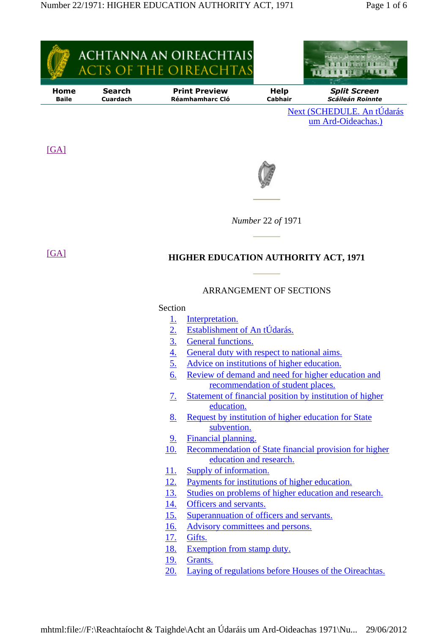

- 16. Advisory committees and persons.
- 17. Gifts.
- 18. Exemption from stamp duty.
- 19. Grants.
- 20. Laying of regulations before Houses of the Oireachtas.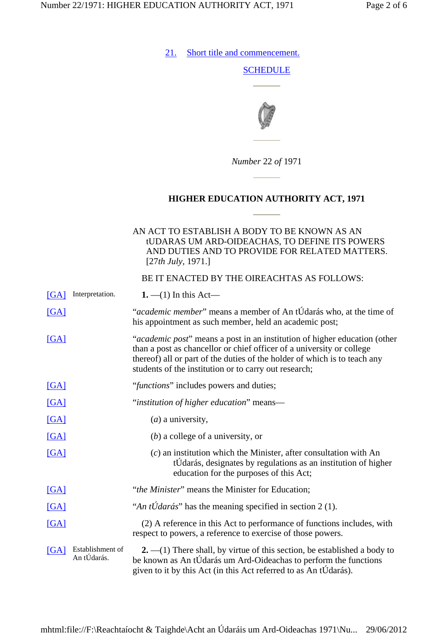21. Short title and commencement.

## **SCHEDULE**



*Number* 22 *of* 1971

## **HIGHER EDUCATION AUTHORITY ACT, 1971**

## AN ACT TO ESTABLISH A BODY TO BE KNOWN AS AN tUDARAS UM ARD-OIDEACHAS, TO DEFINE ITS POWERS AND DUTIES AND TO PROVIDE FOR RELATED MATTERS. [27*th July*, 1971.]

BE IT ENACTED BY THE OIREACHTAS AS FOLLOWS:

| [GA]            | Interpretation.                 | <b>1.</b> $-(1)$ In this Act—                                                                                                                                                                                                                                                                     |
|-----------------|---------------------------------|---------------------------------------------------------------------------------------------------------------------------------------------------------------------------------------------------------------------------------------------------------------------------------------------------|
| [GA]            |                                 | "academic member" means a member of An tÚdarás who, at the time of<br>his appointment as such member, held an academic post;                                                                                                                                                                      |
| [GA]            |                                 | " <i>academic post</i> " means a post in an institution of higher education (other<br>than a post as chancellor or chief officer of a university or college<br>thereof) all or part of the duties of the holder of which is to teach any<br>students of the institution or to carry out research; |
| [GA]            |                                 | " <i>functions</i> " includes powers and duties;                                                                                                                                                                                                                                                  |
| [GA]            |                                 | "institution of higher education" means-                                                                                                                                                                                                                                                          |
| [GA]            |                                 | $(a)$ a university,                                                                                                                                                                                                                                                                               |
| [GA]            |                                 | $(b)$ a college of a university, or                                                                                                                                                                                                                                                               |
| [GA]            |                                 | $(c)$ an institution which the Minister, after consultation with An<br>tÚdarás, designates by regulations as an institution of higher<br>education for the purposes of this Act;                                                                                                                  |
| [GA]            |                                 | "the Minister" means the Minister for Education;                                                                                                                                                                                                                                                  |
| [GA]            |                                 | "An tÚdarás" has the meaning specified in section 2 (1).                                                                                                                                                                                                                                          |
| [GA]            |                                 | (2) A reference in this Act to performance of functions includes, with<br>respect to powers, a reference to exercise of those powers.                                                                                                                                                             |
| $\mathsf{[GA]}$ | Establishment of<br>An tÚdarás. | $2. -1$ ) There shall, by virtue of this section, be established a body to<br>be known as An tÚdarás um Ard-Oideachas to perform the functions<br>given to it by this Act (in this Act referred to as An tÚdarás).                                                                                |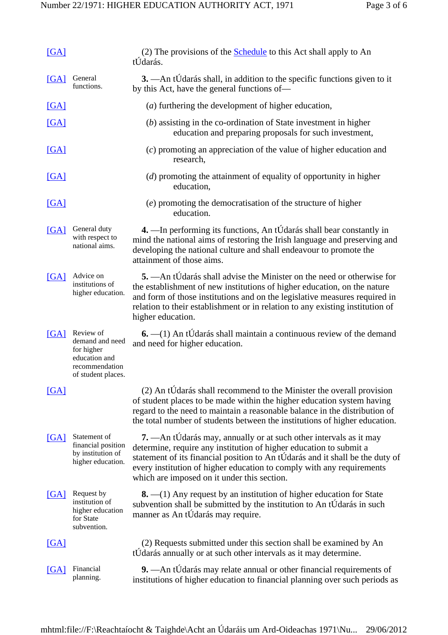| [GA]            |                                                                                                     | (2) The provisions of the <b>Schedule</b> to this Act shall apply to An<br>tUdarás.                                                                                                                                                                                                                                                               |
|-----------------|-----------------------------------------------------------------------------------------------------|---------------------------------------------------------------------------------------------------------------------------------------------------------------------------------------------------------------------------------------------------------------------------------------------------------------------------------------------------|
| [GA]            | General<br>functions.                                                                               | 3. — An tÚdarás shall, in addition to the specific functions given to it<br>by this Act, have the general functions of—                                                                                                                                                                                                                           |
| [GA]            |                                                                                                     | ( <i>a</i> ) furthering the development of higher education,                                                                                                                                                                                                                                                                                      |
| [GA]            |                                                                                                     | (b) assisting in the co-ordination of State investment in higher<br>education and preparing proposals for such investment,                                                                                                                                                                                                                        |
| [GA]            |                                                                                                     | (c) promoting an appreciation of the value of higher education and<br>research,                                                                                                                                                                                                                                                                   |
| [GA]            |                                                                                                     | (d) promoting the attainment of equality of opportunity in higher<br>education,                                                                                                                                                                                                                                                                   |
| [GA]            |                                                                                                     | (e) promoting the democratisation of the structure of higher<br>education.                                                                                                                                                                                                                                                                        |
| [GA]            | General duty<br>with respect to<br>national aims.                                                   | 4. — In performing its functions, An tÚdarás shall bear constantly in<br>mind the national aims of restoring the Irish language and preserving and<br>developing the national culture and shall endeavour to promote the<br>attainment of those aims.                                                                                             |
| [GA]            | Advice on<br>institutions of<br>higher education.                                                   | 5. — An tÚdarás shall advise the Minister on the need or otherwise for<br>the establishment of new institutions of higher education, on the nature<br>and form of those institutions and on the legislative measures required in<br>relation to their establishment or in relation to any existing institution of<br>higher education.            |
| $[GA]$          | Review of<br>demand and need<br>for higher<br>education and<br>recommendation<br>of student places. | $6. - (1)$ An tÚdarás shall maintain a continuous review of the demand<br>and need for higher education.                                                                                                                                                                                                                                          |
| $\mathsf{[GA]}$ |                                                                                                     | (2) An tUdarás shall recommend to the Minister the overall provision<br>of student places to be made within the higher education system having<br>regard to the need to maintain a reasonable balance in the distribution of<br>the total number of students between the institutions of higher education.                                        |
| [GA]            | Statement of<br>financial position<br>by institution of<br>higher education.                        | 7. — An tÚdarás may, annually or at such other intervals as it may<br>determine, require any institution of higher education to submit a<br>statement of its financial position to An tÚdarás and it shall be the duty of<br>every institution of higher education to comply with any requirements<br>which are imposed on it under this section. |
| [GA]            | Request by<br>institution of<br>higher education<br>for State<br>subvention.                        | $\mathbf{8}$ . $\!-(1)$ Any request by an institution of higher education for State<br>subvention shall be submitted by the institution to An tÚdarás in such<br>manner as An tÚdarás may require.                                                                                                                                                |
| [GA]            |                                                                                                     | (2) Requests submitted under this section shall be examined by An<br>tUdarás annually or at such other intervals as it may determine.                                                                                                                                                                                                             |
| $\mathsf{[GA]}$ | Financial<br>planning.                                                                              | 9. - An tÚdarás may relate annual or other financial requirements of<br>institutions of higher education to financial planning over such periods as                                                                                                                                                                                               |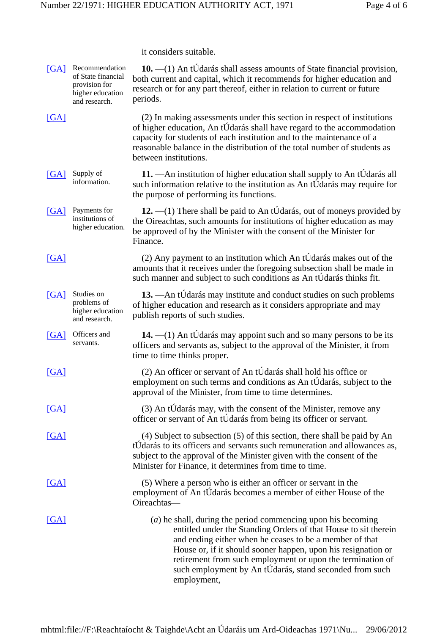it considers suitable.

| [GA]              | Recommendation<br>of State financial<br>provision for<br>higher education<br>and research. | 10. - (1) An tÚdarás shall assess amounts of State financial provision,<br>both current and capital, which it recommends for higher education and<br>research or for any part thereof, either in relation to current or future<br>periods.                                                                                                                                                            |
|-------------------|--------------------------------------------------------------------------------------------|-------------------------------------------------------------------------------------------------------------------------------------------------------------------------------------------------------------------------------------------------------------------------------------------------------------------------------------------------------------------------------------------------------|
| $\Gamma$ GA       |                                                                                            | (2) In making assessments under this section in respect of institutions<br>of higher education, An tÚdarás shall have regard to the accommodation<br>capacity for students of each institution and to the maintenance of a<br>reasonable balance in the distribution of the total number of students as<br>between institutions.                                                                      |
| [GA]              | Supply of<br>information.                                                                  | 11. — An institution of higher education shall supply to An tÚdarás all<br>such information relative to the institution as An tUdarás may require for<br>the purpose of performing its functions.                                                                                                                                                                                                     |
| [GA]              | Payments for<br>institutions of<br>higher education.                                       | 12. $-(1)$ There shall be paid to An tÚdarás, out of moneys provided by<br>the Oireachtas, such amounts for institutions of higher education as may<br>be approved of by the Minister with the consent of the Minister for<br>Finance.                                                                                                                                                                |
| [GA]              |                                                                                            | (2) Any payment to an institution which An tÚdarás makes out of the<br>amounts that it receives under the foregoing subsection shall be made in<br>such manner and subject to such conditions as An tÚdarás thinks fit.                                                                                                                                                                               |
| [GA]              | Studies on<br>problems of<br>higher education<br>and research.                             | 13. - An tÚdarás may institute and conduct studies on such problems<br>of higher education and research as it considers appropriate and may<br>publish reports of such studies.                                                                                                                                                                                                                       |
| [GA]              | Officers and<br>servants.                                                                  | $14. - (1)$ An tÚdarás may appoint such and so many persons to be its<br>officers and servants as, subject to the approval of the Minister, it from<br>time to time thinks proper.                                                                                                                                                                                                                    |
| $\left[GA\right]$ |                                                                                            | (2) An officer or servant of An tÚdarás shall hold his office or<br>employment on such terms and conditions as An tÚdarás, subject to the<br>approval of the Minister, from time to time determines.                                                                                                                                                                                                  |
| GAI               |                                                                                            | (3) An tÚdarás may, with the consent of the Minister, remove any<br>officer or servant of An tÚdarás from being its officer or servant.                                                                                                                                                                                                                                                               |
| [GA]              |                                                                                            | (4) Subject to subsection (5) of this section, there shall be paid by An<br>tÚdarás to its officers and servants such remuneration and allowances as,<br>subject to the approval of the Minister given with the consent of the<br>Minister for Finance, it determines from time to time.                                                                                                              |
| [GA]              |                                                                                            | (5) Where a person who is either an officer or servant in the<br>employment of An tÚdarás becomes a member of either House of the<br>Oireachtas-                                                                                                                                                                                                                                                      |
| $\overline{[GA]}$ |                                                                                            | $(a)$ he shall, during the period commencing upon his becoming<br>entitled under the Standing Orders of that House to sit therein<br>and ending either when he ceases to be a member of that<br>House or, if it should sooner happen, upon his resignation or<br>retirement from such employment or upon the termination of<br>such employment by An tÚdarás, stand seconded from such<br>employment, |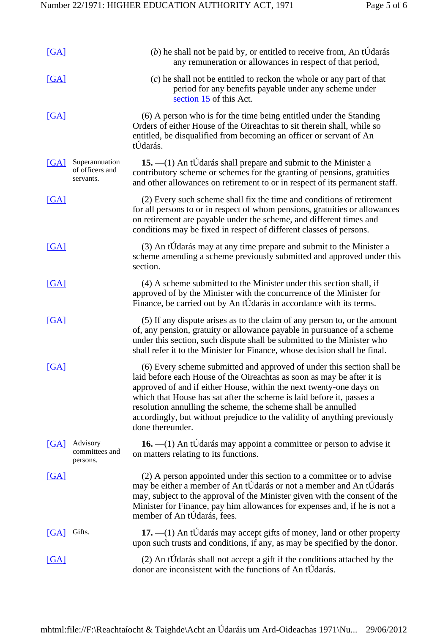| [GA]              |                                                | $(b)$ he shall not be paid by, or entitled to receive from, An tÚdarás<br>any remuneration or allowances in respect of that period,                                                                                                                                                                                                                                                                                                                                |
|-------------------|------------------------------------------------|--------------------------------------------------------------------------------------------------------------------------------------------------------------------------------------------------------------------------------------------------------------------------------------------------------------------------------------------------------------------------------------------------------------------------------------------------------------------|
| [GA]              |                                                | (c) he shall not be entitled to reckon the whole or any part of that<br>period for any benefits payable under any scheme under<br>section 15 of this Act.                                                                                                                                                                                                                                                                                                          |
| $\overline{[GA]}$ |                                                | (6) A person who is for the time being entitled under the Standing<br>Orders of either House of the Oireachtas to sit therein shall, while so<br>entitled, be disqualified from becoming an officer or servant of An<br>tÚdarás.                                                                                                                                                                                                                                   |
| $\mathsf{[GA]}$   | Superannuation<br>of officers and<br>servants. | 15. - (1) An tÚdarás shall prepare and submit to the Minister a<br>contributory scheme or schemes for the granting of pensions, gratuities<br>and other allowances on retirement to or in respect of its permanent staff.                                                                                                                                                                                                                                          |
| [GA]              |                                                | (2) Every such scheme shall fix the time and conditions of retirement<br>for all persons to or in respect of whom pensions, gratuities or allowances<br>on retirement are payable under the scheme, and different times and<br>conditions may be fixed in respect of different classes of persons.                                                                                                                                                                 |
| [GA]              |                                                | (3) An tÚdarás may at any time prepare and submit to the Minister a<br>scheme amending a scheme previously submitted and approved under this<br>section.                                                                                                                                                                                                                                                                                                           |
| [GA]              |                                                | (4) A scheme submitted to the Minister under this section shall, if<br>approved of by the Minister with the concurrence of the Minister for<br>Finance, be carried out by An tÚdarás in accordance with its terms.                                                                                                                                                                                                                                                 |
| [GA]              |                                                | (5) If any dispute arises as to the claim of any person to, or the amount<br>of, any pension, gratuity or allowance payable in pursuance of a scheme<br>under this section, such dispute shall be submitted to the Minister who<br>shall refer it to the Minister for Finance, whose decision shall be final.                                                                                                                                                      |
| [GA]              |                                                | (6) Every scheme submitted and approved of under this section shall be<br>laid before each House of the Oireachtas as soon as may be after it is<br>approved of and if either House, within the next twenty-one days on<br>which that House has sat after the scheme is laid before it, passes a<br>resolution annulling the scheme, the scheme shall be annulled<br>accordingly, but without prejudice to the validity of anything previously<br>done thereunder. |
| [GA]              | Advisory<br>committees and<br>persons.         | 16. $-(1)$ An tÚdarás may appoint a committee or person to advise it<br>on matters relating to its functions.                                                                                                                                                                                                                                                                                                                                                      |
| [GA]              |                                                | (2) A person appointed under this section to a committee or to advise<br>may be either a member of An tÚdarás or not a member and An tÚdarás<br>may, subject to the approval of the Minister given with the consent of the<br>Minister for Finance, pay him allowances for expenses and, if he is not a<br>member of An tÚdarás, fees.                                                                                                                             |
| [GA]              | Gifts.                                         | 17. - (1) An tÚdarás may accept gifts of money, land or other property<br>upon such trusts and conditions, if any, as may be specified by the donor.                                                                                                                                                                                                                                                                                                               |
| $\Gamma$ GA       |                                                | (2) An tÚdarás shall not accept a gift if the conditions attached by the<br>donor are inconsistent with the functions of An tÚdarás.                                                                                                                                                                                                                                                                                                                               |